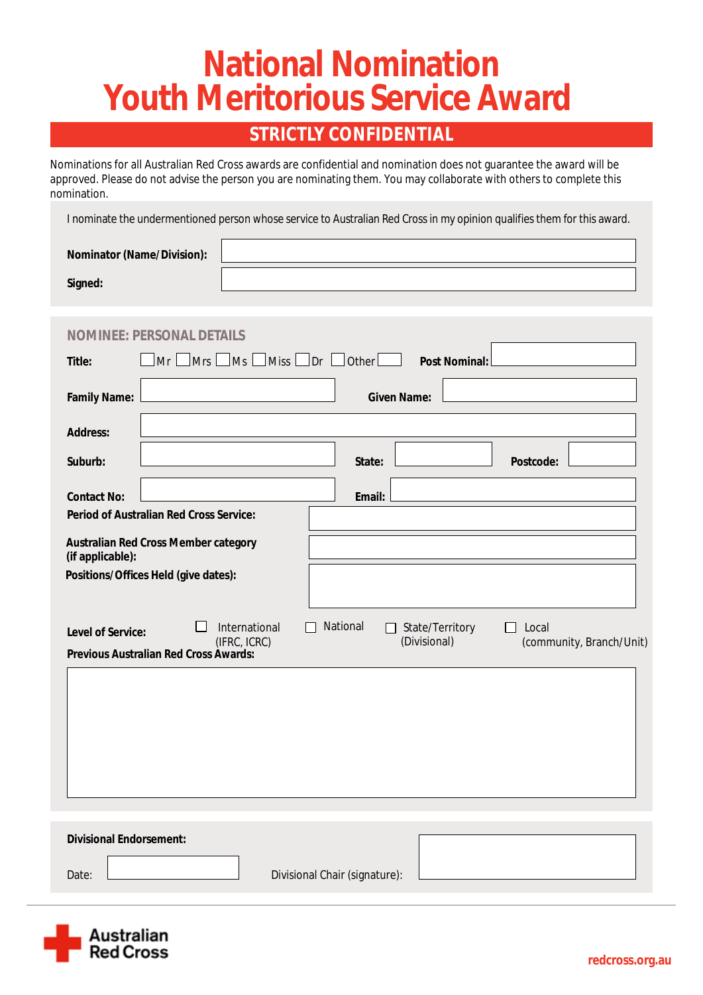# **National Nomination Youth Meritorious Service Award**

### **STRICTLY CONFIDENTIAL**

Nominations for all Australian Red Cross awards are confidential and nomination does not guarantee the award will be approved. Please do not advise the person you are nominating them. You may collaborate with others to complete this nomination.

I nominate the undermentioned person whose service to Australian Red Cross in my opinion qualifies them for this award.

| <b>Nominator (Name/Division):</b> |  |
|-----------------------------------|--|
| <b>Signed:</b>                    |  |

| <b>NOMINE: PERSONAL DETAILS</b>                                                                                                                        |                                                                                  |  |
|--------------------------------------------------------------------------------------------------------------------------------------------------------|----------------------------------------------------------------------------------|--|
| $\Box$ Mrs $\Box$<br>$\Box$ Ms<br>Mr<br><b>Title:</b>                                                                                                  | $\vert$ Miss $\vert$ Dr $\vert$<br>$\vert$ Other $\vert$<br><b>Post Nominal:</b> |  |
| <b>Family Name:</b>                                                                                                                                    | <b>Given Name:</b>                                                               |  |
| <b>Address:</b>                                                                                                                                        |                                                                                  |  |
| Suburb:                                                                                                                                                | <b>Postcode:</b><br>State:                                                       |  |
| <b>Contact No:</b>                                                                                                                                     | <b>Email:</b>                                                                    |  |
| <b>Period of Australian Red Cross Service:</b>                                                                                                         |                                                                                  |  |
| <b>Australian Red Cross Member category</b><br>(if applicable):                                                                                        |                                                                                  |  |
| Positions/Offices Held (give dates):                                                                                                                   |                                                                                  |  |
|                                                                                                                                                        |                                                                                  |  |
| <b>National</b><br><b>International</b><br><b>State/Territory</b><br>Local<br>L<br>$\perp$<br><b>Level of Service:</b><br>(Divisional)<br>(IFRC, ICRC) |                                                                                  |  |
|                                                                                                                                                        |                                                                                  |  |
| <b>Previous Australian Red Cross Awards:</b>                                                                                                           | (community, Branch/Unit)                                                         |  |
|                                                                                                                                                        |                                                                                  |  |
|                                                                                                                                                        |                                                                                  |  |
|                                                                                                                                                        |                                                                                  |  |
|                                                                                                                                                        |                                                                                  |  |
|                                                                                                                                                        |                                                                                  |  |
|                                                                                                                                                        |                                                                                  |  |
| <b>Divisional Endorsement:</b>                                                                                                                         |                                                                                  |  |
| Date:                                                                                                                                                  | <b>Divisional Chair (signature):</b>                                             |  |

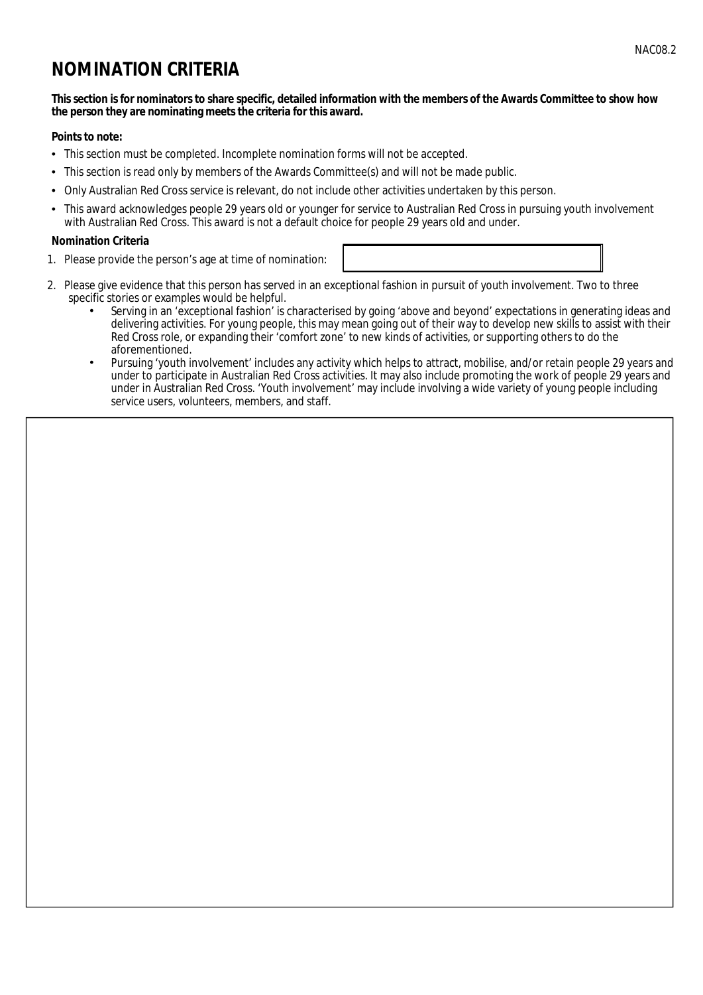## **NOMINATION CRITERIA**

#### This section is for nominators to share specific, detailed information with the members of the Awards Committee to show how the person they are nominating meets the criteria for this award.

#### **Points to note:**

- This section must be completed. Incomplete nomination forms will not be accepted.
- This section is read only by members of the Awards Committee(s) and will not be made public.  $\bullet$
- Only Australian Red Cross service is relevant, do not include other activities undertaken by this person.  $\bullet$
- This award acknowledges people 29 years old or younger for service to Australian Red Cross in pursuing youth involvement with Australian Red Cross. This award is not a default choice for people 29 years old and under.

#### **Nomination Criteria**

- 1. Please provide the person's age at time of nomination:
- 2. Please give evidence that this person has served in an exceptional fashion in pursuit of youth involvement. Two to three specific stories or examples would be helpful.
	- Serving in an 'exceptional fashion' is characterised by going 'above and beyond' expectations in generating ideas and delivering activities. For young people, this may mean going out of their way to develop new skills to assist with their Red Cross role, or expanding their 'comfort zone' to new kinds of activities, or supporting others to do the aforementioned.
	- Pursuing 'youth involvement' includes any activity which helps to attract, mobilise, and/or retain people 29 years and under to participate in Australian Red Cross activities. It may also include promoting the work of people 29 years and under in Australian Red Cross. 'Youth involvement' may include involving a wide variety of young people including service users, volunteers, members, and staff.